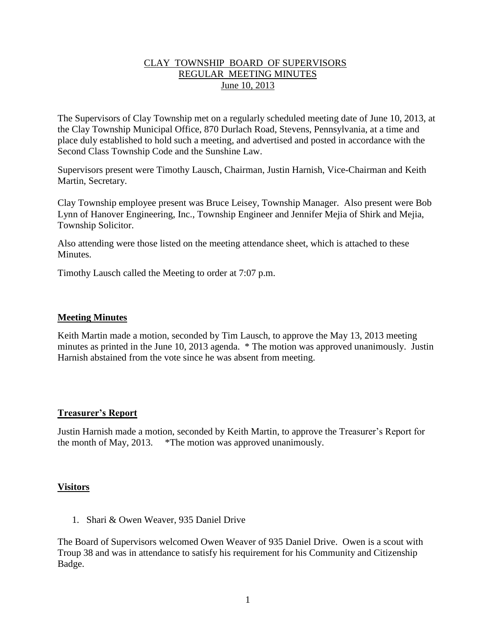## CLAY TOWNSHIP BOARD OF SUPERVISORS REGULAR MEETING MINUTES June 10, 2013

The Supervisors of Clay Township met on a regularly scheduled meeting date of June 10, 2013, at the Clay Township Municipal Office, 870 Durlach Road, Stevens, Pennsylvania, at a time and place duly established to hold such a meeting, and advertised and posted in accordance with the Second Class Township Code and the Sunshine Law.

Supervisors present were Timothy Lausch, Chairman, Justin Harnish, Vice-Chairman and Keith Martin, Secretary.

Clay Township employee present was Bruce Leisey, Township Manager. Also present were Bob Lynn of Hanover Engineering, Inc., Township Engineer and Jennifer Mejia of Shirk and Mejia, Township Solicitor.

Also attending were those listed on the meeting attendance sheet, which is attached to these **Minutes** 

Timothy Lausch called the Meeting to order at 7:07 p.m.

### **Meeting Minutes**

Keith Martin made a motion, seconded by Tim Lausch, to approve the May 13, 2013 meeting minutes as printed in the June 10, 2013 agenda. \* The motion was approved unanimously. Justin Harnish abstained from the vote since he was absent from meeting.

#### **Treasurer's Report**

Justin Harnish made a motion, seconded by Keith Martin, to approve the Treasurer's Report for the month of May, 2013. \*The motion was approved unanimously.

#### **Visitors**

1. Shari & Owen Weaver, 935 Daniel Drive

The Board of Supervisors welcomed Owen Weaver of 935 Daniel Drive. Owen is a scout with Troup 38 and was in attendance to satisfy his requirement for his Community and Citizenship Badge.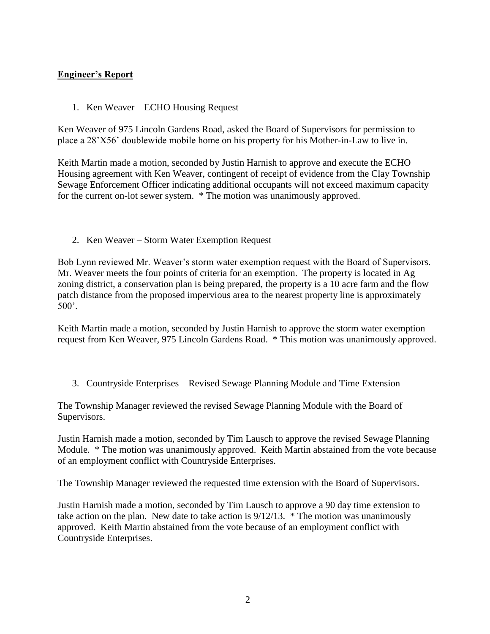# **Engineer's Report**

1. Ken Weaver – ECHO Housing Request

Ken Weaver of 975 Lincoln Gardens Road, asked the Board of Supervisors for permission to place a 28'X56' doublewide mobile home on his property for his Mother-in-Law to live in.

Keith Martin made a motion, seconded by Justin Harnish to approve and execute the ECHO Housing agreement with Ken Weaver, contingent of receipt of evidence from the Clay Township Sewage Enforcement Officer indicating additional occupants will not exceed maximum capacity for the current on-lot sewer system. \* The motion was unanimously approved.

2. Ken Weaver – Storm Water Exemption Request

Bob Lynn reviewed Mr. Weaver's storm water exemption request with the Board of Supervisors. Mr. Weaver meets the four points of criteria for an exemption. The property is located in Ag zoning district, a conservation plan is being prepared, the property is a 10 acre farm and the flow patch distance from the proposed impervious area to the nearest property line is approximately 500'.

Keith Martin made a motion, seconded by Justin Harnish to approve the storm water exemption request from Ken Weaver, 975 Lincoln Gardens Road. \* This motion was unanimously approved.

3. Countryside Enterprises – Revised Sewage Planning Module and Time Extension

The Township Manager reviewed the revised Sewage Planning Module with the Board of Supervisors.

Justin Harnish made a motion, seconded by Tim Lausch to approve the revised Sewage Planning Module. \* The motion was unanimously approved. Keith Martin abstained from the vote because of an employment conflict with Countryside Enterprises.

The Township Manager reviewed the requested time extension with the Board of Supervisors.

Justin Harnish made a motion, seconded by Tim Lausch to approve a 90 day time extension to take action on the plan. New date to take action is 9/12/13. \* The motion was unanimously approved. Keith Martin abstained from the vote because of an employment conflict with Countryside Enterprises.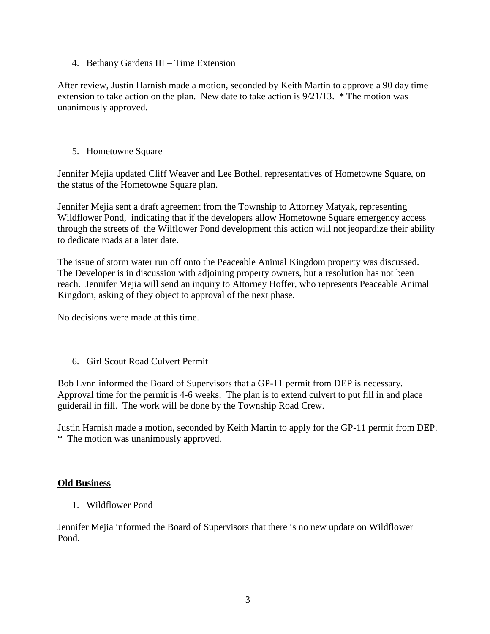4. Bethany Gardens III – Time Extension

After review, Justin Harnish made a motion, seconded by Keith Martin to approve a 90 day time extension to take action on the plan. New date to take action is 9/21/13. \* The motion was unanimously approved.

5. Hometowne Square

Jennifer Mejia updated Cliff Weaver and Lee Bothel, representatives of Hometowne Square, on the status of the Hometowne Square plan.

Jennifer Mejia sent a draft agreement from the Township to Attorney Matyak, representing Wildflower Pond, indicating that if the developers allow Hometowne Square emergency access through the streets of the Wilflower Pond development this action will not jeopardize their ability to dedicate roads at a later date.

The issue of storm water run off onto the Peaceable Animal Kingdom property was discussed. The Developer is in discussion with adjoining property owners, but a resolution has not been reach. Jennifer Mejia will send an inquiry to Attorney Hoffer, who represents Peaceable Animal Kingdom, asking of they object to approval of the next phase.

No decisions were made at this time.

6. Girl Scout Road Culvert Permit

Bob Lynn informed the Board of Supervisors that a GP-11 permit from DEP is necessary. Approval time for the permit is 4-6 weeks. The plan is to extend culvert to put fill in and place guiderail in fill. The work will be done by the Township Road Crew.

Justin Harnish made a motion, seconded by Keith Martin to apply for the GP-11 permit from DEP. \* The motion was unanimously approved.

#### **Old Business**

1. Wildflower Pond

Jennifer Mejia informed the Board of Supervisors that there is no new update on Wildflower Pond.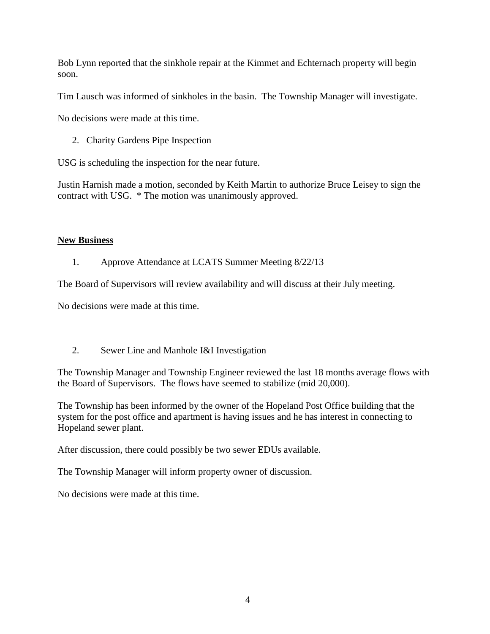Bob Lynn reported that the sinkhole repair at the Kimmet and Echternach property will begin soon.

Tim Lausch was informed of sinkholes in the basin. The Township Manager will investigate.

No decisions were made at this time.

2. Charity Gardens Pipe Inspection

USG is scheduling the inspection for the near future.

Justin Harnish made a motion, seconded by Keith Martin to authorize Bruce Leisey to sign the contract with USG. \* The motion was unanimously approved.

# **New Business**

# 1. Approve Attendance at LCATS Summer Meeting 8/22/13

The Board of Supervisors will review availability and will discuss at their July meeting.

No decisions were made at this time.

2. Sewer Line and Manhole I&I Investigation

The Township Manager and Township Engineer reviewed the last 18 months average flows with the Board of Supervisors. The flows have seemed to stabilize (mid 20,000).

The Township has been informed by the owner of the Hopeland Post Office building that the system for the post office and apartment is having issues and he has interest in connecting to Hopeland sewer plant.

After discussion, there could possibly be two sewer EDUs available.

The Township Manager will inform property owner of discussion.

No decisions were made at this time.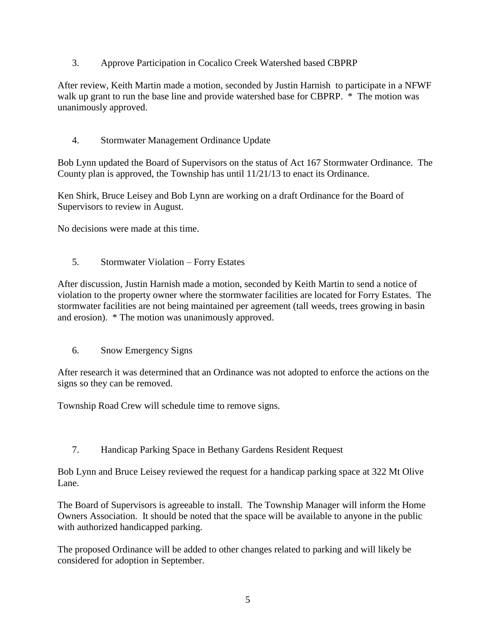3. Approve Participation in Cocalico Creek Watershed based CBPRP

After review, Keith Martin made a motion, seconded by Justin Harnish to participate in a NFWF walk up grant to run the base line and provide watershed base for CBPRP.  $*$  The motion was unanimously approved.

4. Stormwater Management Ordinance Update

Bob Lynn updated the Board of Supervisors on the status of Act 167 Stormwater Ordinance. The County plan is approved, the Township has until 11/21/13 to enact its Ordinance.

Ken Shirk, Bruce Leisey and Bob Lynn are working on a draft Ordinance for the Board of Supervisors to review in August.

No decisions were made at this time.

5. Stormwater Violation – Forry Estates

After discussion, Justin Harnish made a motion, seconded by Keith Martin to send a notice of violation to the property owner where the stormwater facilities are located for Forry Estates. The stormwater facilities are not being maintained per agreement (tall weeds, trees growing in basin and erosion). \* The motion was unanimously approved.

6. Snow Emergency Signs

After research it was determined that an Ordinance was not adopted to enforce the actions on the signs so they can be removed.

Township Road Crew will schedule time to remove signs.

7. Handicap Parking Space in Bethany Gardens Resident Request

Bob Lynn and Bruce Leisey reviewed the request for a handicap parking space at 322 Mt Olive Lane.

The Board of Supervisors is agreeable to install. The Township Manager will inform the Home Owners Association. It should be noted that the space will be available to anyone in the public with authorized handicapped parking.

The proposed Ordinance will be added to other changes related to parking and will likely be considered for adoption in September.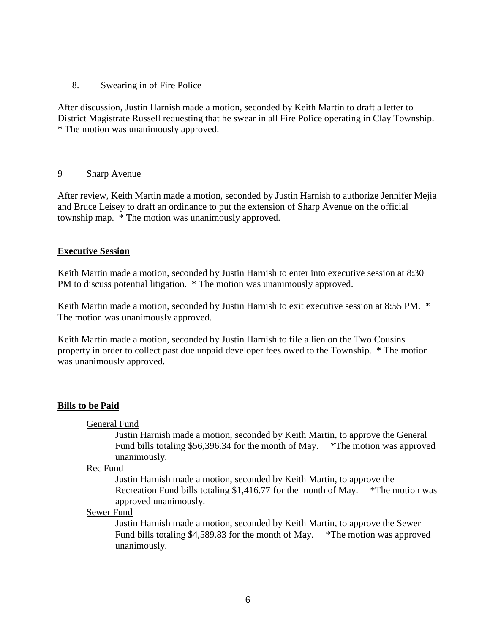#### 8. Swearing in of Fire Police

After discussion, Justin Harnish made a motion, seconded by Keith Martin to draft a letter to District Magistrate Russell requesting that he swear in all Fire Police operating in Clay Township. \* The motion was unanimously approved.

#### 9 Sharp Avenue

After review, Keith Martin made a motion, seconded by Justin Harnish to authorize Jennifer Mejia and Bruce Leisey to draft an ordinance to put the extension of Sharp Avenue on the official township map. \* The motion was unanimously approved.

#### **Executive Session**

Keith Martin made a motion, seconded by Justin Harnish to enter into executive session at 8:30 PM to discuss potential litigation. \* The motion was unanimously approved.

Keith Martin made a motion, seconded by Justin Harnish to exit executive session at 8:55 PM. \* The motion was unanimously approved.

Keith Martin made a motion, seconded by Justin Harnish to file a lien on the Two Cousins property in order to collect past due unpaid developer fees owed to the Township. \* The motion was unanimously approved.

#### **Bills to be Paid**

General Fund

Justin Harnish made a motion, seconded by Keith Martin, to approve the General Fund bills totaling \$56,396.34 for the month of May. \*The motion was approved unanimously.

#### Rec Fund

Justin Harnish made a motion, seconded by Keith Martin, to approve the Recreation Fund bills totaling \$1,416.77 for the month of May. \*The motion was approved unanimously.

#### Sewer Fund

Justin Harnish made a motion, seconded by Keith Martin, to approve the Sewer Fund bills totaling \$4,589.83 for the month of May. \*The motion was approved unanimously.